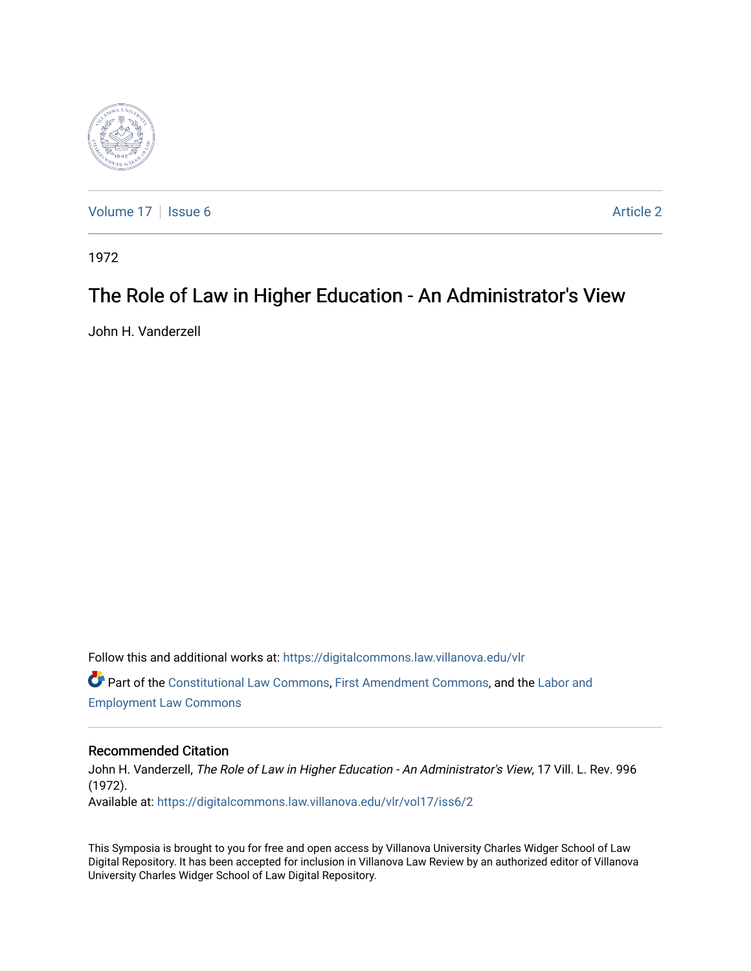

[Volume 17](https://digitalcommons.law.villanova.edu/vlr/vol17) | [Issue 6](https://digitalcommons.law.villanova.edu/vlr/vol17/iss6) Article 2

1972

# The Role of Law in Higher Education - An Administrator's View

John H. Vanderzell

Follow this and additional works at: [https://digitalcommons.law.villanova.edu/vlr](https://digitalcommons.law.villanova.edu/vlr?utm_source=digitalcommons.law.villanova.edu%2Fvlr%2Fvol17%2Fiss6%2F2&utm_medium=PDF&utm_campaign=PDFCoverPages) Part of the [Constitutional Law Commons,](http://network.bepress.com/hgg/discipline/589?utm_source=digitalcommons.law.villanova.edu%2Fvlr%2Fvol17%2Fiss6%2F2&utm_medium=PDF&utm_campaign=PDFCoverPages) [First Amendment Commons,](http://network.bepress.com/hgg/discipline/1115?utm_source=digitalcommons.law.villanova.edu%2Fvlr%2Fvol17%2Fiss6%2F2&utm_medium=PDF&utm_campaign=PDFCoverPages) and the [Labor and](http://network.bepress.com/hgg/discipline/909?utm_source=digitalcommons.law.villanova.edu%2Fvlr%2Fvol17%2Fiss6%2F2&utm_medium=PDF&utm_campaign=PDFCoverPages) [Employment Law Commons](http://network.bepress.com/hgg/discipline/909?utm_source=digitalcommons.law.villanova.edu%2Fvlr%2Fvol17%2Fiss6%2F2&utm_medium=PDF&utm_campaign=PDFCoverPages)

#### Recommended Citation

John H. Vanderzell, The Role of Law in Higher Education - An Administrator's View, 17 Vill. L. Rev. 996 (1972). Available at: [https://digitalcommons.law.villanova.edu/vlr/vol17/iss6/2](https://digitalcommons.law.villanova.edu/vlr/vol17/iss6/2?utm_source=digitalcommons.law.villanova.edu%2Fvlr%2Fvol17%2Fiss6%2F2&utm_medium=PDF&utm_campaign=PDFCoverPages) 

This Symposia is brought to you for free and open access by Villanova University Charles Widger School of Law Digital Repository. It has been accepted for inclusion in Villanova Law Review by an authorized editor of Villanova University Charles Widger School of Law Digital Repository.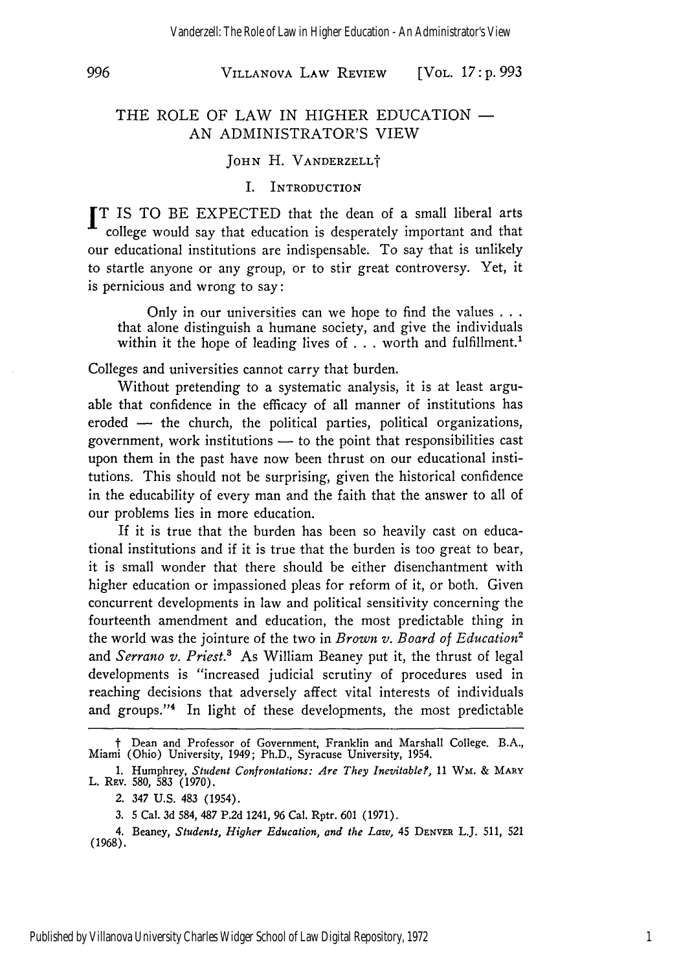996

#### VILLANOVA LAW REVIEW [VOL. *17* **: p. 993**

#### THE ROLE OF LAW IN HIGHER EDUCATION  $-$ AN ADMINISTRATOR'S VIEW

#### **JOHN** H. VANDERZELLt

#### I. INTRODUCTION

IT IS TO BE EXPECTED that the dean of a small liberal arts college would say that education is desperately important and that our educational institutions are indispensable. To say that is unlikely to startle anyone or any group, or to stir great controversy. Yet, it is pernicious and wrong to say:

Only in our universities can we hope to find the values **...** that alone distinguish a humane society, and give the individuals within it the hope of leading lives of . . . worth and fulfillment.<sup>1</sup>

Colleges and universities cannot carry that burden.

Without pretending to a systematic analysis, it is at least arguable that confidence in the efficacy of all manner of institutions has eroded **-** the church, the political parties, political organizations, government, work institutions **-** to the point that responsibilities cast upon them in the past have now been thrust on our educational institutions. This should not be surprising, given the historical confidence in the educability of every man and the faith that the answer to all of our problems lies in more education.

If it is true that the burden has been so heavily cast on educational institutions and if it is true that the burden is too great to bear, it is small wonder that there should be either disenchantment with higher education or impassioned pleas for reform of it, or both. Given concurrent developments in law and political sensitivity concerning the fourteenth amendment and education, the most predictable thing in the world was the jointure of the two in *Brown v. Board of Education2* and *Serrano v. Priest.3* As William Beaney put it, the thrust of legal developments is "increased judicial scrutiny of procedures used in reaching decisions that adversely affect vital interests of individuals and groups."<sup>4</sup> In light of these developments, the most predictable

**<sup>t</sup>**Dean and Professor of Government, Franklin and Marshall College. B.A., Miami (Ohio) University, 1949; Ph.D., Syracuse University, 1954.

<sup>1.</sup> Humphrey, *Student Confrontations: Are They Inevitable?, 11* **WM. &** MARY L. Rev. 580, 583 (1970)

*<sup>2.</sup>* 347 **U.S.** 483 (1954).

<sup>3. 5</sup> Cal. 3d 584, **487 P.2d** 1241, **96** Cal. Rptr. **601 (1971).**

<sup>4.</sup> Beaney, *Students, Higher Education, and the Law,* 45 **DENVER** L.J. **511, 521 (1968).**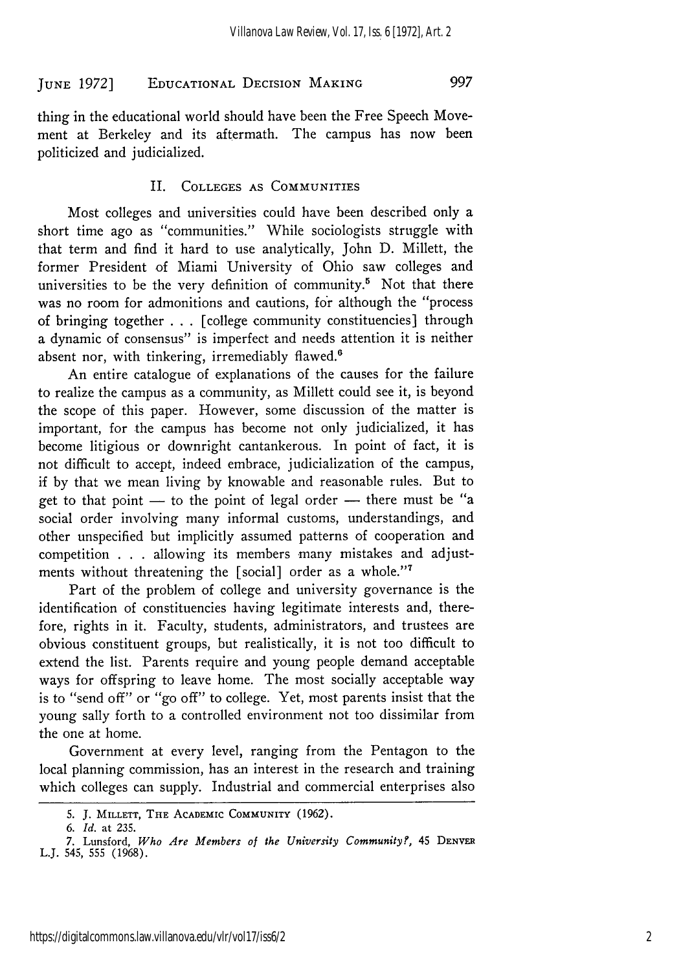997

thing in the educational world should have been the Free Speech Movement at Berkeley and its aftermath. The campus has now been politicized and judicialized.

#### II. COLLEGES AS COMMUNITIES

Most colleges and universities could have been described only a short time ago as "communities." While sociologists struggle with that term and find it hard to use analytically, John D. Millett, the former President of Miami University of Ohio saw colleges and universities to be the very definition of community.<sup>5</sup> Not that there was no room for admonitions and cautions, for although the "process of bringing together . .. [college community constituencies] through a dynamic of consensus" is imperfect and needs attention it is neither absent nor, with tinkering, irremediably flawed.<sup>6</sup>

An entire catalogue of explanations of the causes for the failure to realize the campus as a community, as Millett could see it, is beyond the scope of this paper. However, some discussion of the matter is important, for the campus has become not only judicialized, it has become litigious or downright cantankerous. In point of fact, it is not difficult to accept, indeed embrace, judicialization of the campus, if by that we mean living by knowable and reasonable rules. But to get to that point  $-$  to the point of legal order  $-$  there must be "a social order involving many informal customs, understandings, and other unspecified but implicitly assumed patterns of cooperation and competition . . . allowing its members many mistakes and adjustments without threatening the [social] order as a whole."<sup>7</sup>

Part of the problem of college and university governance is the identification of constituencies having legitimate interests and, therefore, rights in it. Faculty, students, administrators, and trustees are obvious constituent groups, but realistically, it is not too difficult to extend the list. Parents require and young people demand acceptable ways for offspring to leave home. The most socially acceptable way is to "send off" or "go off" to college. Yet, most parents insist that the young sally forth to a controlled environment not too dissimilar from the one at home.

Government at every level, ranging from the Pentagon to the local planning commission, has an interest in the research and training which colleges can supply. Industrial and commercial enterprises also

<sup>5.</sup> J. MILLETT, THE ACADEMIC **COMMUNITY** (1962).

*<sup>6.</sup> Id.* at 235.

<sup>7.</sup> Lunsford, *Who Are Members of the University Communityf,* 45 **DENVER** L.J. 545, 555 (1968).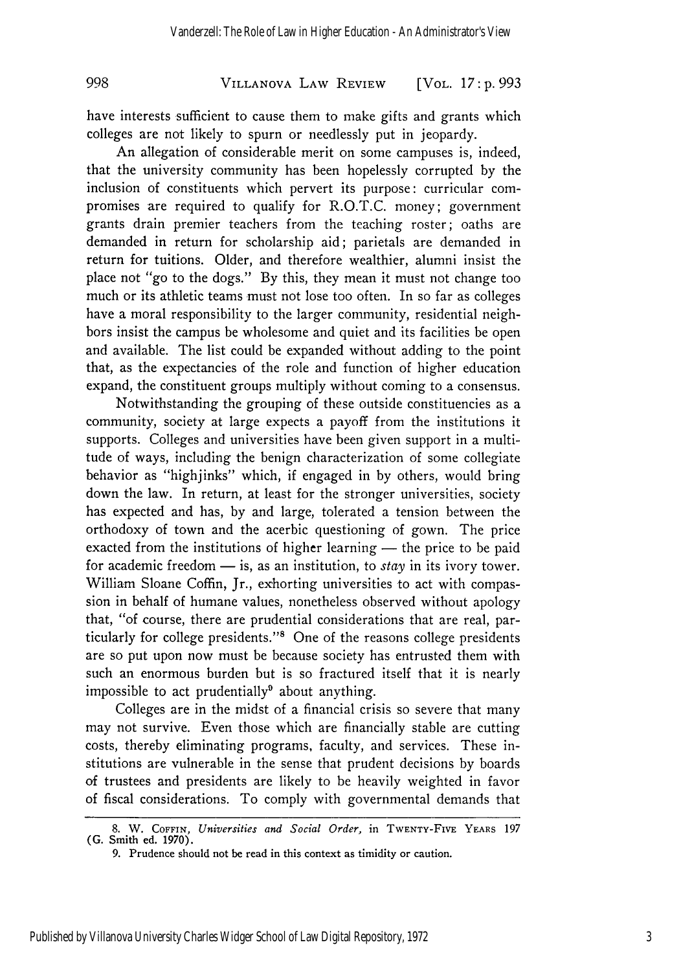VILLANOVA LAW REVIEW [VOL. *17* **: p. 993**

have interests sufficient to cause them to make gifts and grants which colleges are not likely to spurn or needlessly put in jeopardy.

998

An allegation of considerable merit on some campuses is, indeed, that the university community has been hopelessly corrupted by the inclusion of constituents which pervert its purpose: curricular compromises are required to qualify for R.O.T.C. money; government grants drain premier teachers from the teaching roster; oaths are demanded in return for scholarship aid; parietals are demanded in return for tuitions. Older, and therefore wealthier, alumni insist the place not "go to the dogs." By this, they mean it must not change too much or its athletic teams must not lose too often. In so far as colleges have a moral responsibility to the larger community, residential neighbors insist the campus be wholesome and quiet and its facilities be open and available. The list could be expanded without adding to the point that, as the expectancies of the role and function of higher education expand, the constituent groups multiply without coming to a consensus.

Notwithstanding the grouping of these outside constituencies as a community, society at large expects a payoff from the institutions it supports. Colleges and universities have been given support in a multitude of ways, including the benign characterization of some collegiate behavior as "highjinks" which, if engaged in by others, would bring down the law. In return, at least for the stronger universities, society has expected and has, by and large, tolerated a tension between the orthodoxy of town and the acerbic questioning of gown. The price exacted from the institutions of higher learning  $-$  the price to be paid for academic freedom - is, as an institution, to *stay* in its ivory tower. William Sloane Coffin, Jr., exhorting universities to act with compassion in behalf of humane values, nonetheless observed without apology that, "of course, there are prudential considerations that are real, particularly for college presidents."<sup>8</sup> One of the reasons college presidents are so put upon now must be because society has entrusted them with such an enormous burden but is so fractured itself that it is nearly impossible to act prudentially<sup>9</sup> about anything.

Colleges are in the midst of a financial crisis so severe that many may not survive. Even those which are financially stable are cutting costs, thereby eliminating programs, faculty, and services. These institutions are vulnerable in the sense that prudent decisions by boards of trustees and presidents are likely to be heavily weighted in favor of fiscal considerations. To comply with governmental demands that

**<sup>8.</sup>** W. **COFFIN,** *Universities and Social Order,* in TWENTY-FIvE YEARS **197 (G. Smith ed. 1970).**

**<sup>9.</sup>** Prudence should **not** be **read** in this context as timidity **or** caution.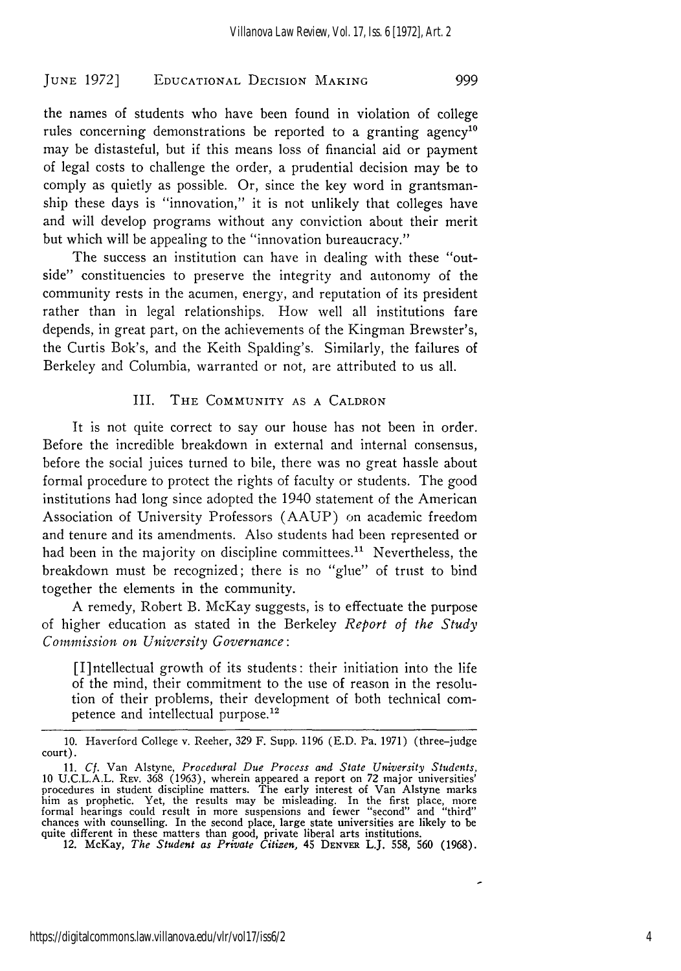the names of students who have been found in violation of college rules concerning demonstrations be reported to a granting agency<sup>10</sup> may be distasteful, but if this means loss of financial aid or payment of legal costs to challenge the order, a prudential decision may be to comply as quietly as possible. Or, since the key word in grantsmanship these days is "innovation," it is not unlikely that colleges have and will develop programs without any conviction about their merit but which will be appealing to the "innovation bureaucracy."

The success an institution can have in dealing with these "outside" constituencies to preserve the integrity and autonomy of the community rests in the acumen, energy, and reputation of its president rather than in legal relationships. How well all institutions fare depends, in great part, on the achievements of the Kingman Brewster's, the Curtis Bok's, and the Keith Spalding's. Similarly, the failures of Berkeley and Columbia, warranted or not, are attributed to us all.

#### III. THE COMMUNITY AS A CALDRON

It is not quite correct to say our house has not been in order. Before the incredible breakdown in external and internal consensus, before the social juices turned to bile, there was no great hassle about formal procedure to protect the rights of faculty or students. The good institutions had long since adopted the 1940 statement of the American Association of University Professors (AAUP) on academic freedom and tenure and its amendments. Also students had been represented or had been in the majority on discipline committees.<sup>11</sup> Nevertheless, the breakdown must be recognized; there is no "glue" of trust to bind together the elements in the community.

A remedy, Robert B. McKay suggests, is to effectuate the purpose of higher education as stated in the Berkeley *Report of the Study Commission on University Governance:*

[I]ntellectual growth of its students: their initiation into the life of the mind, their commitment to the use of reason in the resolution of their problems, their development of both technical competence and intellectual purpose.<sup>12</sup>

<sup>10.</sup> Haverford College v. Reeher, 329 F. Supp. 1196 (E.D. Pa. 1971) (three-judge court).

<sup>11.</sup> *Cf.* Van Alstyne, *Procedural Due Process and State University Students.* 10 U.C.L.A.L. REv. 368 (1963), wherein appeared a report on 72 major universities' procedures in student discipline matters. The early interest of Van Alstyne marks him as prophetic. Yet, the results may be misleading. In the first place, more formal hearings could result in more suspensions and fewer "second" and "third" chances with counselling. In the second place, large state universities are likely to be quite different in these matters than good, private liberal arts institutions.<br>12. McKay, *The Student as Private Citizen*, 45 DENVER L.J. 558, 560 (1968).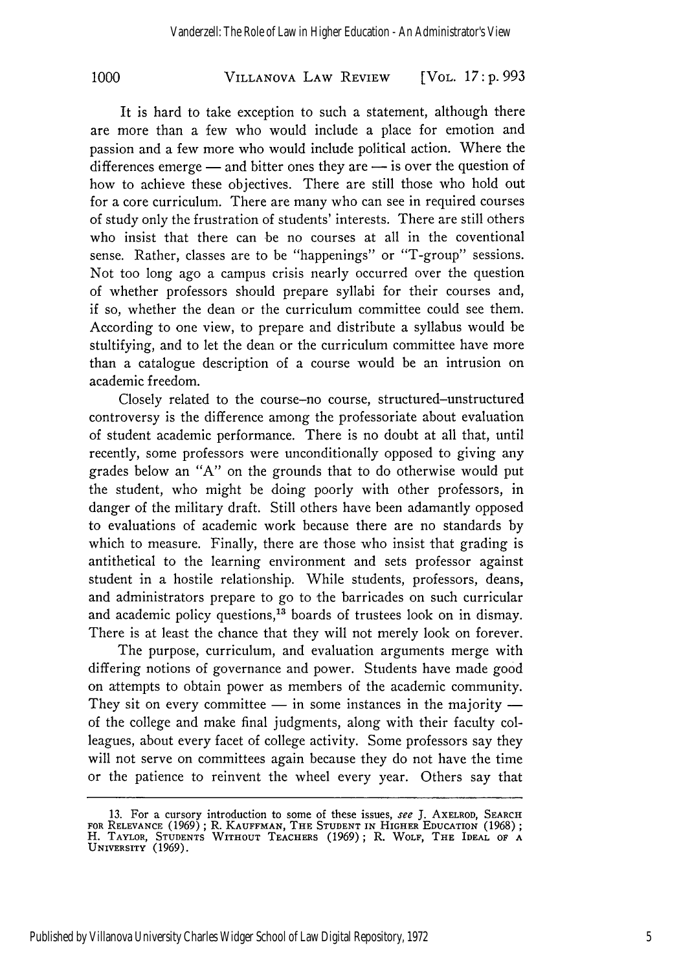VILLANOVA LAW REVIEW **1000** [VOL. *17:* **p. 993**

It is hard to take exception to such a statement, although there are more than a few who would include a place for emotion and passion and a few more who would include political action. Where the differences emerge  $-$  and bitter ones they are  $-$  is over the question of how to achieve these objectives. There are still those who hold out for a core curriculum. There are many who can see in required courses of study only the frustration of students' interests. There are still others who insist that there can be no courses at all in the coventional sense. Rather, classes are to be "happenings" or "T-group" sessions. Not too long ago a campus crisis nearly occurred over the question of whether professors should prepare syllabi for their courses and, if so, whether the dean or the curriculum committee could see them. According to one view, to prepare and distribute a syllabus would be stultifying, and to let the dean or the curriculum committee have more than a catalogue description of a course would be an intrusion on academic freedom.

Closely related to the course-no course, structured-unstructured controversy is the difference among the professoriate about evaluation of student academic performance. There is no doubt at all that, until recently, some professors were unconditionally opposed to giving any grades below an "A" on the grounds that to do otherwise would put the student, who might be doing poorly with other professors, in danger of the military draft. Still others have been adamantly opposed to evaluations of academic work because there are no standards by which to measure. Finally, there are those who insist that grading is antithetical to the learning environment and sets professor against student in a hostile relationship. While students, professors, deans, and administrators prepare to go to the barricades on such curricular and academic policy questions,<sup>13</sup> boards of trustees look on in dismay. There is at least the chance that they will not merely look on forever.

The purpose, curriculum, and evaluation arguments merge with differing notions of governance and power. Students have made good on attempts to obtain power as members of the academic community. They sit on every committee  $-$  in some instances in the majority  $$ of the college and make final judgments, along with their faculty colleagues, about every facet of college activity. Some professors say they will not serve on committees again because they do not have the time or the patience to reinvent the wheel every year. Others say that

Published by Villanova University Charles Widger School of Law Digital Repository, 1972

<sup>13.</sup> For a cursory introduction to some of these issues, see J. AXELROD, SEARCH FOR RELEVANCE (1969); R. **KAUFFMAN,** THE **STUDENT IN HIGHER EDUCATION** (1968); H. TAYLOR, **STUDENTS** WITHOUT **TEACHERS** (1969); R. WOLF, THE IDEAL OF **<sup>A</sup> UNIVERSITY** (1969).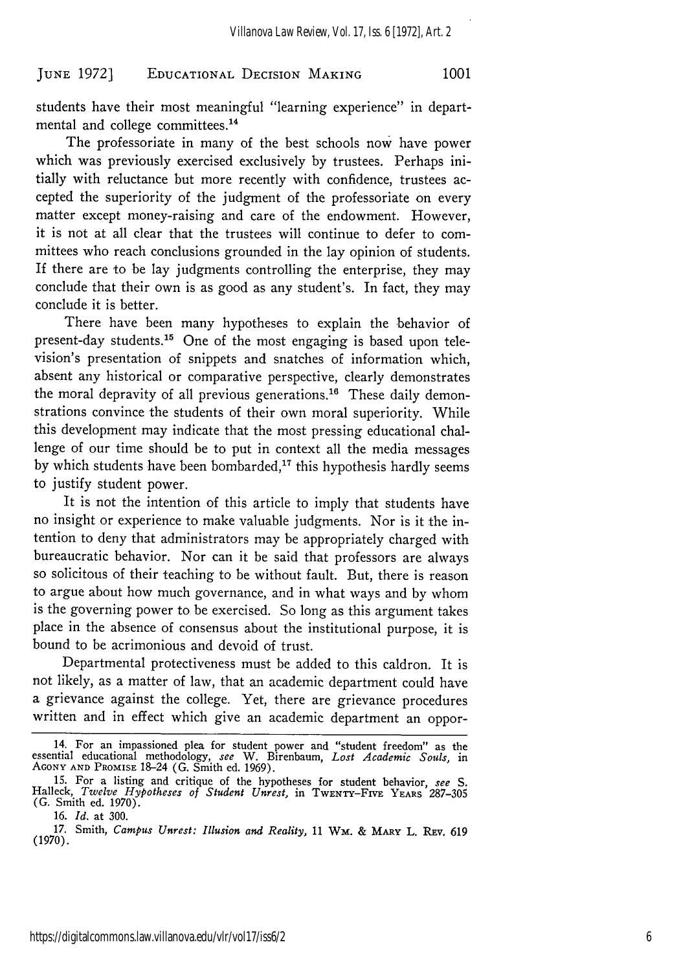students have their most meaningful "learning experience" in departmental and college committees.<sup>14</sup>

The professoriate in many of the best schools now have power which was previously exercised exclusively by trustees. Perhaps initially with reluctance but more recently with confidence, trustees accepted the superiority of the judgment of the professoriate on every matter except money-raising and care of the endowment. However, it is not at all clear that the trustees will continue to defer to committees who reach conclusions grounded in the lay opinion of students. If there are to be lay judgments controlling the enterprise, they may conclude that their own is as good as any student's. In fact, they may conclude it is better.

There have been many hypotheses to explain the behavior of present-day students.<sup>15</sup> One of the most engaging is based upon television's presentation of snippets and snatches of information which, absent any historical or comparative perspective, clearly demonstrates the moral depravity of all previous generations.<sup>16</sup> These daily demonstrations convince the students of their own moral superiority. While this development may indicate that the most pressing educational challenge of our time should be to put in context all the media messages by which students have been bombarded,<sup>17</sup> this hypothesis hardly seems to justify student power.

It is not the intention of this article to imply that students have no insight or experience to make valuable judgments. Nor is it the intention to deny that administrators may be appropriately charged with bureaucratic behavior. Nor can it be said that professors are always so solicitous of their teaching to be without fault. But, there is reason to argue about how much governance, and in what ways and **by** whom is the governing power to be exercised. So long as this argument takes place in the absence of consensus about the institutional purpose, it is bound to be acrimonious and devoid of trust.

Departmental protectiveness must be added to this caldron. It is not likely, as a matter of law, that an academic department could have a grievance against the college. Yet, there are grievance procedures written and in effect which give an academic department an oppor-

<sup>14.</sup> For an impassioned plea for student power and "student freedom" as the essential educational methodology, *see* W. Birenbaum, *Lost Academic Souls,* in **AGONY AND** PROMISE 18-24 (G. Smith ed. 1969).

**<sup>15.</sup>** For a listing and critique of the hypotheses for student behavior, *see S.* Halleck, *Twelve Hypotheses of Student Unrest,* in TWENTY-FIVE YEARS 287-305 (G. Smith **ed.** 1970).

**<sup>16.</sup>** *Id.* at 300.

<sup>17.</sup> Smith, *Campus Unrest: Illusion and Reality,* 11 *Wm.* & MARY L. **REv.** <sup>619</sup> (1970).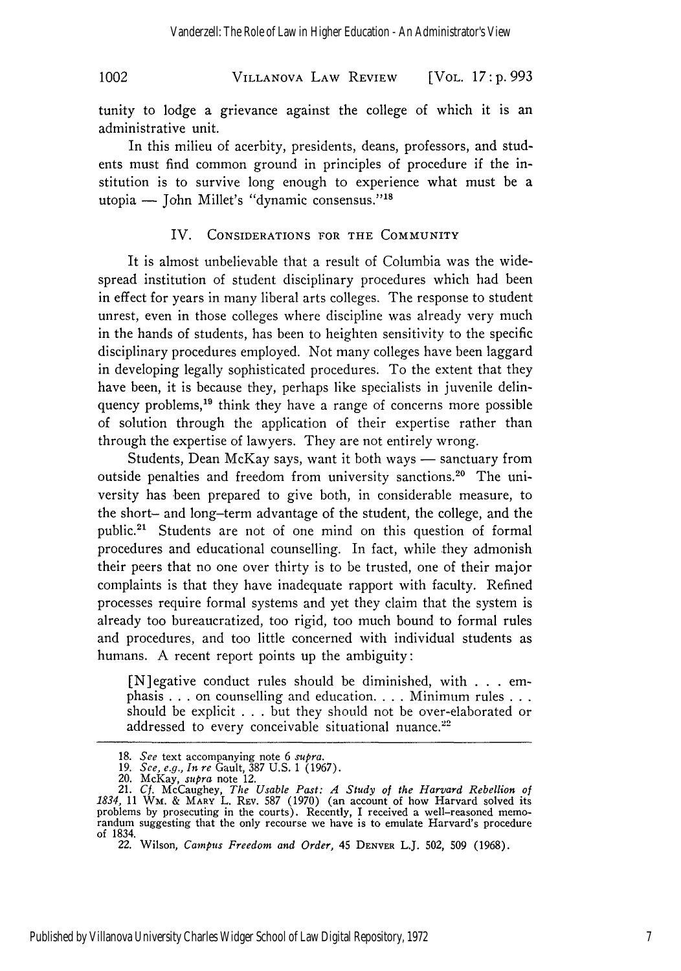## **VILLANOVA** LAW REVIEW 1002 [VOL. *17: p. 993*

tunity to lodge a grievance against the college of which it is an administrative unit.

In this milieu of acerbity, presidents, deans, professors, and students must find common ground in principles of procedure if the institution is to survive long enough to experience what must be a utopia  $-$  John Millet's "dynamic consensus."<sup>18</sup>

#### IV. CONSIDERATIONS FOR THE COMMUNITY

It is almost unbelievable that a result of Columbia was the widespread institution of student disciplinary procedures which had been in effect for years in many liberal arts colleges. The response to student unrest, even in those colleges where discipline was already very much in the hands of students, has been to heighten sensitivity to the specific disciplinary procedures employed. Not many colleges have been laggard in developing legally sophisticated procedures. To the extent that they have been, it is because they, perhaps like specialists in juvenile delinquency problems,<sup>19</sup> think they have a range of concerns more possible of solution through the application of their expertise rather than through the expertise of lawyers. They are not entirely wrong.

Students, Dean McKay says, want it both ways  $-$  sanctuary from outside penalties and freedom from university sanctions.<sup>20</sup> The university has been prepared to give both, in considerable measure, to the short- and long-term advantage of the student, the college, and the public.<sup>21</sup> Students are not of one mind on this question of formal procedures and educational counselling. In fact, while they admonish their peers that no one over thirty is to be trusted, one of their major complaints is that they have inadequate rapport with faculty. Refined processes require formal systems and yet they claim that the system is already too bureaucratized, too rigid, too much bound to formal rules and procedures, and too little concerned with individual students as humans. A recent report points up the ambiguity:

[N]egative conduct rules should be diminished, with . . . emphasis ...on counselling and education **....** Minimum rules **...** should be explicit . . . but they should not be over-elaborated or addressed to every conceivable situational nuance. $22$ 

**<sup>18.</sup>** *See* text accompanying note 6 *supra.*

**<sup>19.</sup>** *See, e.g., In re* Gault, 387 U.S. 1 (1967).

<sup>20.</sup> McKay, *supra* note 12.<br>
21. *Cf.* McCaughey, *The Usable Past: A Study of the Harvard Rebellion of*<br>
1834, 11 WM. & MARY L. REV. 587 (1970) (an account of how Harvard solved its problems by prosecuting in the courts). Recently, I received a well-reasoned memo- randum suggesting that the only recourse we have is to emulate Harvard's procedure of 1834.

*<sup>22.</sup>* Wilson, *Campus Freedom and Order,* 45 DENVER L.J. 502, 509 (1968).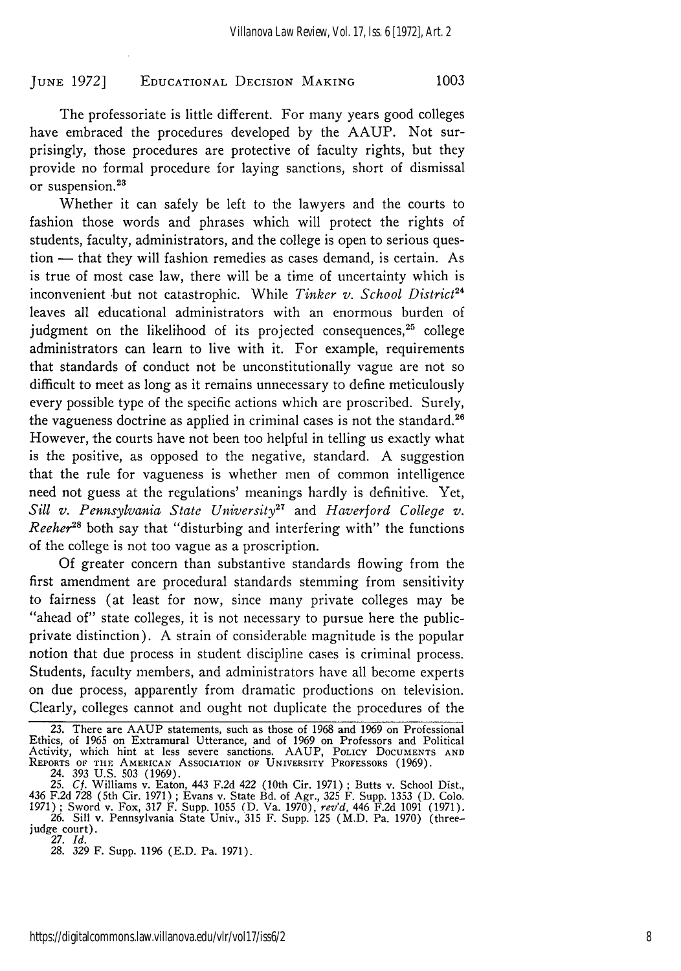The professoriate is little different. For many years good colleges have embraced the procedures developed by the AAUP. Not surprisingly, those procedures are protective of faculty rights, but they provide no formal procedure for laying sanctions, short of dismissal or suspension.<sup>23</sup>

Whether it can safely be left to the lawyers and the courts to fashion those words and phrases which will protect the rights of students, faculty, administrators, and the college is open to serious question - that they will fashion remedies as cases demand, is certain. As is true of most case law, there will be a time of uncertainty which is inconvenient but not catastrophic. While *Tinker v. School District24* leaves all educational administrators with an enormous burden of judgment on the likelihood of its projected consequences, $25$  college administrators can learn to live with it. For example, requirements that standards of conduct not be unconstitutionally vague are not so difficult to meet as long as it remains unnecessary to define meticulously every possible type of the specific actions which are proscribed. Surely, the vagueness doctrine as applied in criminal cases is not the standard.<sup>26</sup> However, the courts have not been too helpful in telling us exactly what is the positive, as opposed to the negative, standard. A suggestion that the rule for vagueness is whether men of common intelligence need not guess at the regulations' meanings hardly is definitive. Yet, *Sill v. Pennsylvania State University27* and *Haverford College v. Reeher*<sup>28</sup> both say that "disturbing and interfering with" the functions of the college is not too vague as a proscription.

Of greater concern than substantive standards flowing from the first amendment are procedural standards stemming from sensitivity to fairness (at least for now, since many private colleges may be "ahead of" state colleges, it is not necessary to pursue here the publicprivate distinction). A strain of considerable magnitude is the popular notion that due process in student discipline cases is criminal process. Students, faculty members, and administrators have all become experts on due process, apparently from dramatic productions on television. Clearly, colleges cannot and ought not duplicate the procedures of the

**<sup>23.</sup>** There are AAUP statements, such as those of **1968** and **1969** on Professional Ethics, of **1965** on Extramural Utterance, and of **1969** on Professors and Political Activity, which hint at less severe sanctions. **AAUP,** POLICY DOCUMENTS **AND** REPORTS OF **THE AMERICAN** ASSOCIATION OF UNIVERSITY PROFESSORS **(1969).**

<sup>24. 393</sup> U.S. 503 (1969). 25. **Cf.** Williams v. Eaton, 443 F.2d 422 (10th Cir. 1971) **;** Butts v. School Dist., 436 F.2d 728 (5th Cir. 1971) **;** Evans v. State Bd. of Agr., 325 F. Supp. 1353 (D. Colo. 1971) **;** Sword v. Fox, 317 F. Supp. 1055 (D. Va. 1970), *rev'd,* 446 F.2d 1091 (1971).

<sup>26.</sup> Sill v. Pennsylvania State Univ., 315 F. Supp. 125 (M.D. Pa. 1970) (threejudge court). 27. *Id.*

<sup>28. 329</sup> F. Supp. 1196 (E.D. Pa. 1971).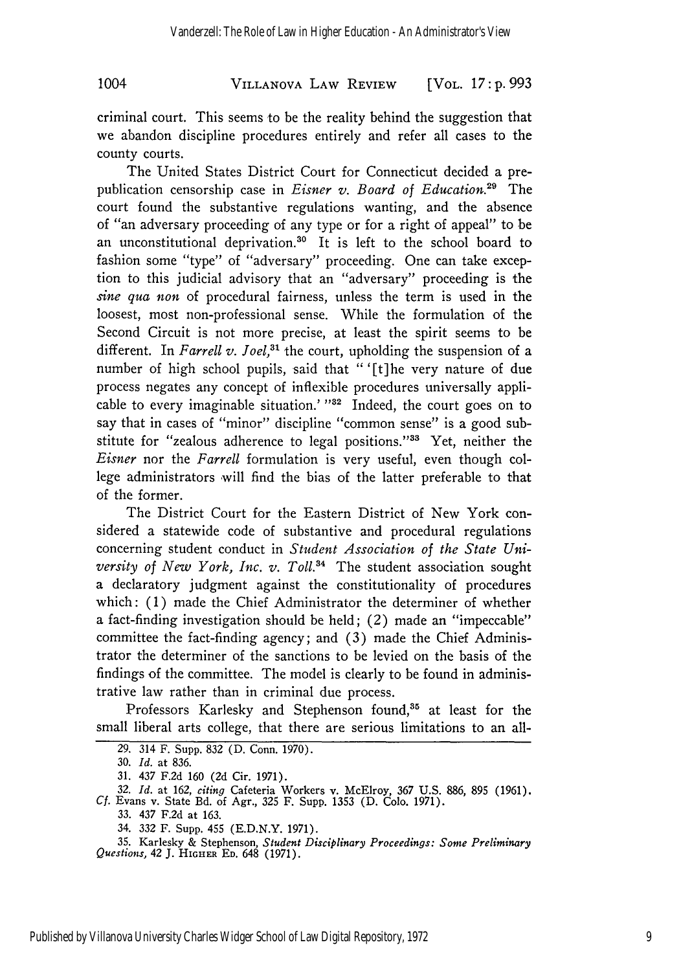## VILLANOVA LAW REVIEW 1004 [VOL. *17* **: p. 993**

criminal court. This seems to be the reality behind the suggestion that we abandon discipline procedures entirely and refer all cases to the county courts.

The United States District Court for Connecticut decided a prepublication censorship case in *Eisner v. Board of Education.29* The court found the substantive regulations wanting, and the absence of "an adversary proceeding of any type or for a right of appeal" to be an unconstitutional deprivation.<sup>30</sup> It is left to the school board to fashion some "type" of "adversary" proceeding. One can take exception to this judicial advisory that an "adversary" proceeding is the *sine qua non* of procedural fairness, unless the term is used in the loosest, most non-professional sense. While the formulation of the Second Circuit is not more precise, at least the spirit seems to be different. In *Farrell v. Joel*,<sup>31</sup> the court, upholding the suspension of a number of high school pupils, said that **"** '[t] he very nature of due process negates any concept of inflexible procedures universally applicable to every imaginable situation.' **"32** Indeed, the court goes on to say that in cases of "minor" discipline "common sense" is a good substitute for "zealous adherence to legal positions."<sup>33</sup> Yet, neither the *Eisner* nor the *Farrell* formulation is very useful, even though college administrators will find the bias of the latter preferable to that of the former.

The District Court for the Eastern District of New York considered a statewide code of substantive and procedural regulations concerning student conduct in *Student Association of the State University of New York, Inc. v. Toll.*<sup>34</sup> The student association sought a declaratory judgment against the constitutionality of procedures which: (1) made the Chief Administrator the determiner of whether a fact-finding investigation should be held; (2) made an "impeccable" committee the fact-finding agency; and (3) made the Chief Administrator the determiner of the sanctions to be levied on the basis of the findings of the committee. The model is clearly to be found in administrative law rather than in criminal due process.

Professors Karlesky and Stephenson found,<sup>35</sup> at least for the small liberal arts college, that there are serious limitations to an all-

33. 437 F.2d at 163.

**35.** Karlesky & Stephenson, *Student Disciplinary Proceedings: Some Preliminary Questions, 42* J. HIGHER **ED.** 648 **(1971).**

<sup>29. 314</sup> F. Supp. 832 (D. Conn. 1970).

**<sup>30.</sup>** *Id.* at 836.

<sup>31. 437</sup> F.2d 160 (2d Cir. 1971).

**<sup>32.</sup>** *Id.* at 162, *citing* Cafeteria Workers v. McElroy, *367* U.S. 886, 895 (1961). *Cf.* Evans v. State Bd. of Agr., 325 F. Supp. **1353 (D.** Colo. **1971).**

<sup>34.</sup> **332** F. Supp. 455 (E.D.N.Y. **1971).**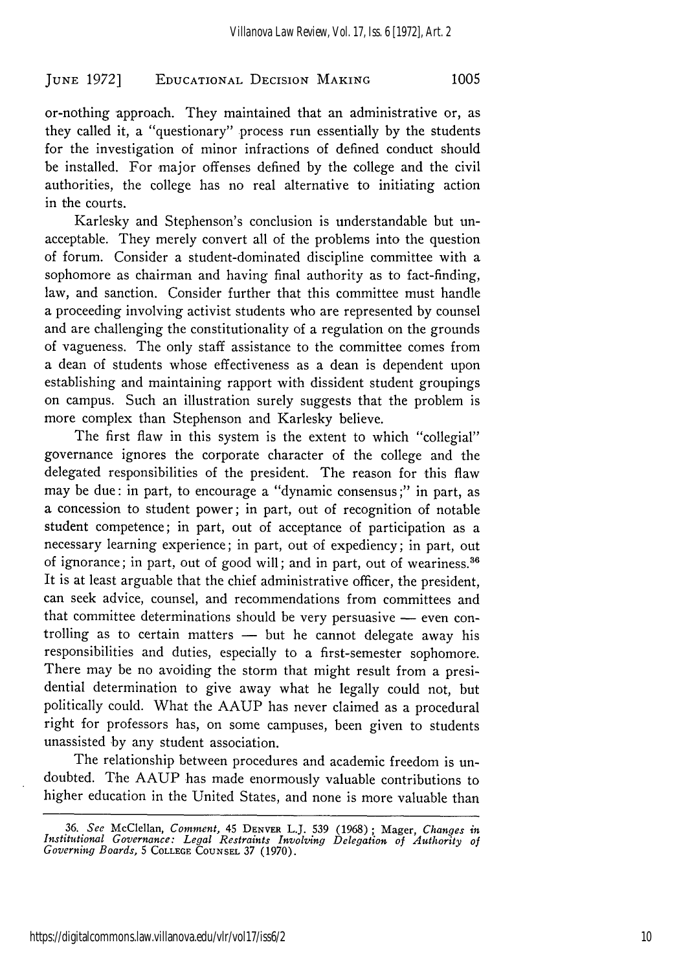1005

#### **JUNE** 1972] **EDUCATIONAL** DEcIsIoN **MAKING**

or-nothing approach. They maintained that an administrative or, as they called it, a "questionary" process run essentially by the students for the investigation of minor infractions of defined conduct should be installed. For major offenses defined by the college and the civil authorities, the college has no real alternative to initiating action in the courts.

Karlesky and Stephenson's conclusion is understandable but unacceptable. They merely convert all of the problems into the question of forum. Consider a student-dominated discipline committee with a sophomore as chairman and having final authority as to fact-finding, law, and sanction. Consider further that this committee must handle a proceeding involving activist students who are represented by counsel and are challenging the constitutionality of a regulation on the grounds of vagueness. The only staff assistance to the committee comes from a dean of students whose effectiveness as a dean is dependent upon establishing and maintaining rapport with dissident student groupings on campus. Such an illustration surely suggests that the problem is more complex than Stephenson and Karlesky believe.

The first flaw in this system is the extent to which "collegial" governance ignores the corporate character of the college and the delegated responsibilities of the president. The reason for this flaw may be due: in part, to encourage a "dynamic consensus ;" in part, as a concession to student power; in part, out of recognition of notable student competence; in part, out of acceptance of participation as a necessary learning experience; in part, out of expediency; in part, out of ignorance; in part, out of good will; and in part, out of weariness.<sup>36</sup> It is at least arguable that the chief administrative officer, the president, can seek advice, counsel, and recommendations from committees and that committee determinations should be very persuasive  $-$  even controlling as to certain matters - but he cannot delegate away his responsibilities and duties, especially to a first-semester sophomore. There may be no avoiding the storm that might result from a presidential determination to give away what he legally could not, but politically could. What the AAUP has never claimed as a procedural right for professors has, on some campuses, been given to students unassisted by any student association.

The relationship between procedures and academic freedom is undoubted. The AAUP has made enormously valuable contributions to higher education in the United States, and none is more valuable than

**<sup>36.</sup>** *See* McClellan, Comment, 45 DENVER L.J. **539 (1968);** Mager, *Changes in Institutional Governance: Legal Restraints Involving Delegation of Authority of Governing Boards,* 5 **COLLEGE COUNSEL** 37 **(1970).**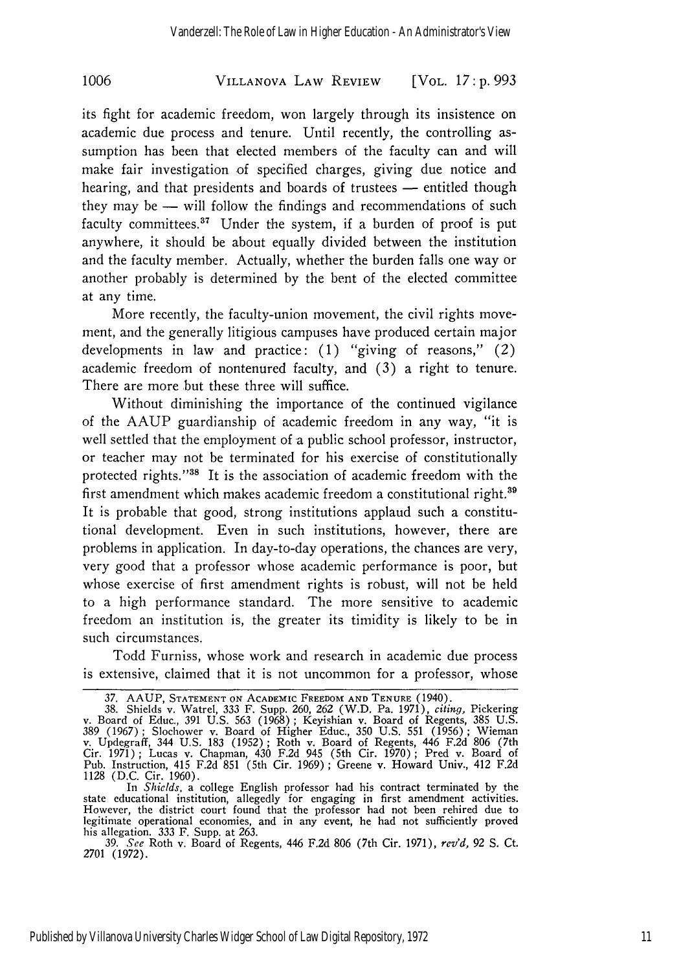### VILLANOVA LAW REVIEW **1006** [VOL. *17* **: p. 993**

its fight for academic freedom, won largely through its insistence on academic due process and tenure. Until recently, the controlling assumption has been that elected members of the faculty can and will make fair investigation of specified charges, giving due notice and hearing, and that presidents and boards of trustees — entitled though they may be  $-$  will follow the findings and recommendations of such faculty committees. $37$  Under the system, if a burden of proof is put anywhere, it should be about equally divided between the institution and the faculty member. Actually, whether the burden falls one way or another probably is determined by the bent of the elected committee at any time.

More recently, the faculty-union movement, the civil rights movement, and the generally litigious campuses have produced certain major developments in law and practice: (1) "giving of reasons," (2) academic freedom of nontenured faculty, and (3) a right to tenure. There are more but these three will suffice.

Without diminishing the importance of the continued vigilance of the AAUP guardianship of academic freedom in any way, "it is well settled that the employment of a public school professor, instructor, or teacher may not be terminated for his exercise of constitutionally protected rights.""8 It is the association of academic freedom with the first amendment which makes academic freedom a constitutional right.<sup>39</sup> It is probable that good, strong institutions applaud such a constitutional development. Even in such institutions, however, there are problems in application. In day-to-day operations, the chances are very, very good that a professor whose academic performance is poor, but whose exercise of first amendment rights is robust, will not be held to a high performance standard. The more sensitive to academic freedom an institution is, the greater its timidity is likely to be in such circumstances.

Todd Furniss, whose work and research in academic due process is extensive, claimed that it is not uncommon for a professor, whose

<sup>37.</sup> AAUP, STATEMENT ON ACADEMIC FREEDOM AND TENURE (1940).<br>38. Shields v. Watrel, 333 F. Supp. 260, 262 (W.D. Pa. 1971), *citing*, Pickering<br>v. Board of Educ., 391 U.S. 563 (1968); Keyishian v. Board of Regents, 385 U.S. 389 (1967) ; Slochower v. Board of Higher Educ., 350 U.S. 551 (1956) ; Wieman v. Updegraff, 344 U.S. 183 (1952); Roth v. Board of Regents, 446 F.2d 806 (7th Cir. 1971) ; Lucas v. Chapman, 430 F.2d 945 (5th Cir. 1970) ; Pred v. Board of Pub. Instruction, 415 F.2d 851 (5th Cir. 1969); Greene v. Howard Univ., 412 F.2d 1128 (D.C. Cir. 1960). In *Shields,* a college English professor had his contract terminated by the

state educational institution, allegedly for engaging in first amendment activities. However, the district court found that the professor had not been rehired due to legitimate operational economies, and in any event, he had not sufficiently proved his allegation. 333 F. Supp. at 263.

<sup>39.</sup> *See* Roth v. Board of Regents, 446 F.2d 806 (7th Cir. 1971), *rev'd,* 92 **S.** Ct. 2701 (1972).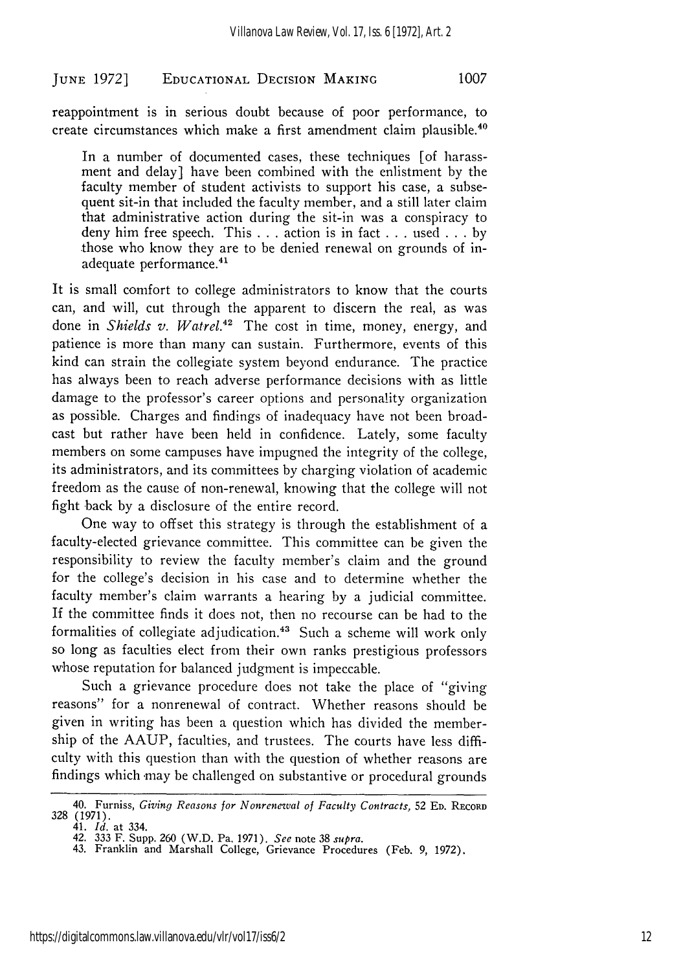reappointment is in serious doubt because of poor performance, to create circumstances which make a first amendment claim plausible.<sup>4</sup>

In a number of documented cases, these techniques [of harassment and delay] have been combined with the enlistment by the faculty member of student activists to support his case, a subsequent sit-in that included the faculty member, and a still later claim that administrative action during the sit-in was a conspiracy to deny him free speech. This ... action is in fact **. . .** used **...** by those who know they are to be denied renewal on grounds of inadequate performance.<sup>41</sup>

It is small comfort to college administrators to know that the courts can, and will, cut through the apparent to discern the real, as was done in *Shields v. Watrel.42* The cost in time, money, energy, and patience is more than many can sustain. Furthermore, events of this kind can strain the collegiate system beyond endurance. The practice has always been to reach adverse performance decisions with as little damage to the professor's career options and personality organization as possible. Charges and findings of inadequacy have not been broadcast but rather have been held in confidence. Lately, some faculty members on some campuses have impugned the integrity of the college, its administrators, and its committees by charging violation of academic freedom as the cause of non-renewal, knowing that the college will not fight back by a disclosure of the entire record.

One way to offset this strategy is through the establishment of a faculty-elected grievance committee. This committee can be given the responsibility to review the faculty member's claim and the ground for the college's decision in his case and to determine whether the faculty member's claim warrants a hearing by a judicial committee. If the committee finds it does not, then no recourse can be had to the formalities of collegiate adjudication.<sup>43</sup> Such a scheme will work only so long as faculties elect from their own ranks prestigious professors whose reputation for balanced judgment is impeccable.

Such a grievance procedure does not take the place of "giving reasons" for a nonrenewal of contract. Whether reasons should be given in writing has been a question which has divided the membership of the AAUP, faculties, and trustees. The courts have less difficulty with this question than with the question of whether reasons are findings which may be challenged on substantive or procedural grounds

<sup>40.</sup> Furniss, *Giving Reasons for Nonrenewal of Faculty Contracts,* **52 ED.** RECORD **328** (1971). 41. *Id.* at 334.

<sup>42.</sup> **333** F. Supp. **260** (W.D. Pa. **1971).** *See* note **38** *supra.*

<sup>43.</sup> Franklin and Marshall College, Grievance Procedures **(Feb. 9, 1972).**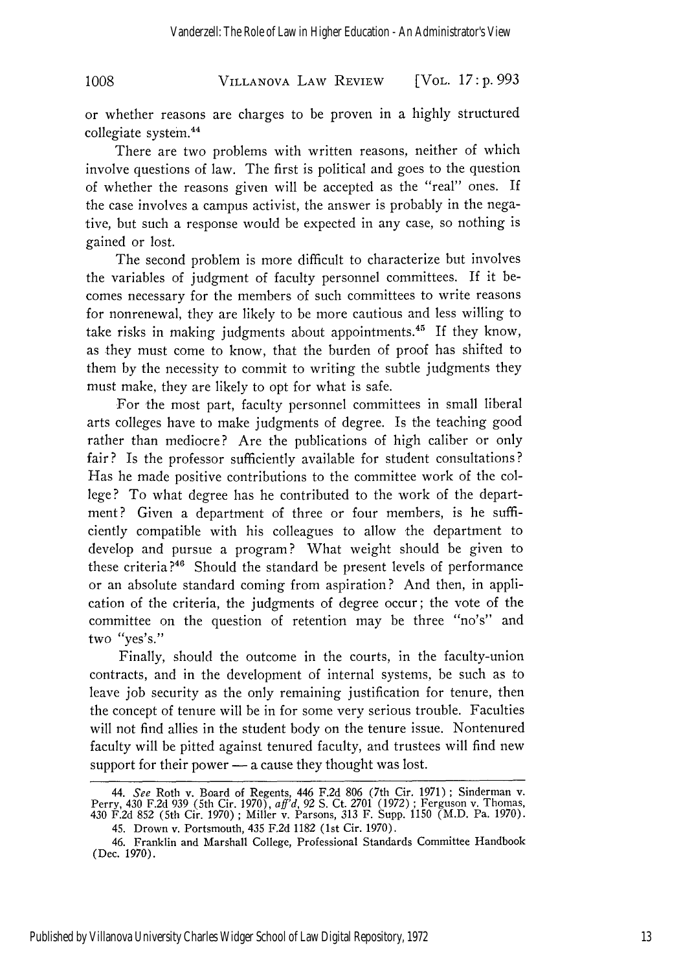VILLANOVA LAW REVIEW **1008** [VOL. *17:* **p.** *993*

or whether reasons are charges to be proven in a highly structured collegiate system.<sup>44</sup>

There are two problems with written reasons, neither of which involve questions of law. The first is political and goes to the question of whether the reasons given will be accepted as the "real" ones. If the case involves a campus activist, the answer is probably in the negative, but such a response would be expected in any case, so nothing is gained or lost.

The second problem is more difficult to characterize but involves the variables of judgment of faculty personnel committees. If it becomes necessary for the members of such committees to write reasons for nonrenewal, they are likely to be more cautious and less willing to take risks in making judgments about appointments.<sup>45</sup> If they know, as they must come to know, that the burden of proof has shifted to them by the necessity to commit to writing the subtle judgments they must make, they are likely to opt for what is safe.

For the most part, faculty personnel committees in small liberal arts colleges have to make judgments of degree. Is the teaching good rather than mediocre? Are the publications of high caliber or only fair? Is the professor sufficiently available for student consultations? Has he made positive contributions to the committee work of the college? To what degree has he contributed to the work of the department? Given a department of three or four members, is he sufficiently compatible with his colleagues to allow the department to develop and pursue a program? What weight should be given to these criteria?<sup>46</sup> Should the standard be present levels of performance or an absolute standard coming from aspiration? And then, in application of the criteria, the judgments of degree occur; the vote of the committee on the question of retention may be three "no's" and two "yes's."

Finally, should the outcome in the courts, in the faculty-union contracts, and in the development of internal systems, be such as to leave job security as the only remaining justification for tenure, then the concept of tenure will be in for some very serious trouble. Faculties will not find allies in the student body on the tenure issue. Nontenured faculty will be pitted against tenured faculty, and trustees will find new support for their power  $-$  a cause they thought was lost.

*<sup>44.</sup> See* Roth v. Board of Regents, 446 F.2d 806 (7th Cir. 1971) ; Sinderman v. Perry, 430 F.2d 939 (5th Cir. 1970), *aff'd,* 92 S. Ct. 2701 (1972) ; Ferguson v. Thomas, 430 F.2d 852 (5th Cir. 1970) ; Miller v. Parsons, 313 F. Supp. 1150 (M.D. Pa. 1970).

<sup>45.</sup> Drown v. Portsmouth, 435 F.2d 1182 (1st Cir. 1970).

<sup>46.</sup> Franklin and Marshall College, Professional Standards Committee Handbook (Dec. 1970).